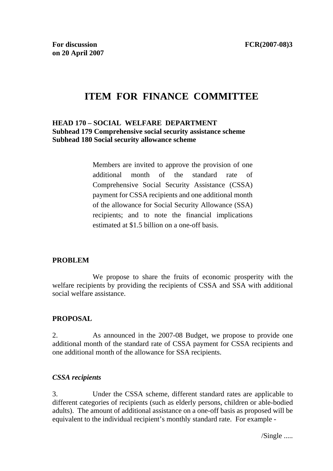# **ITEM FOR FINANCE COMMITTEE**

## **HEAD 170 – SOCIAL WELFARE DEPARTMENT Subhead 179 Comprehensive social security assistance scheme Subhead 180 Social security allowance scheme**

Members are invited to approve the provision of one additional month of the standard rate of Comprehensive Social Security Assistance (CSSA) payment for CSSA recipients and one additional month of the allowance for Social Security Allowance (SSA) recipients; and to note the financial implications estimated at \$1.5 billion on a one-off basis.

#### **PROBLEM**

 We propose to share the fruits of economic prosperity with the welfare recipients by providing the recipients of CSSA and SSA with additional social welfare assistance.

#### **PROPOSAL**

2. As announced in the 2007-08 Budget, we propose to provide one additional month of the standard rate of CSSA payment for CSSA recipients and one additional month of the allowance for SSA recipients.

#### *CSSA recipients*

3. Under the CSSA scheme, different standard rates are applicable to different categories of recipients (such as elderly persons, children or able-bodied adults). The amount of additional assistance on a one-off basis as proposed will be equivalent to the individual recipient's monthly standard rate. For example -

/Single .....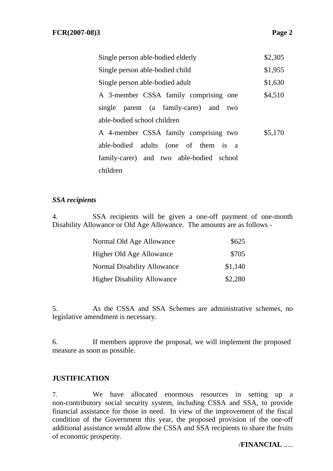| \$2,305<br>Single person able-bodied elderly     |  |  |  |
|--------------------------------------------------|--|--|--|
| \$1,955<br>Single person able-bodied child       |  |  |  |
| \$1,630<br>Single person able-bodied adult       |  |  |  |
| A 3-member CSSA family comprising one<br>\$4,510 |  |  |  |
| single parent (a family-carer) and two           |  |  |  |
| able-bodied school children                      |  |  |  |
| A 4-member CSSA family comprising two<br>\$5,170 |  |  |  |
| able-bodied adults (one of them is a             |  |  |  |
| family-carer) and two able-bodied school         |  |  |  |
| children                                         |  |  |  |

#### *SSA recipients*

4. SSA recipients will be given a one-off payment of one-month Disability Allowance or Old Age Allowance. The amounts are as follows -

| Normal Old Age Allowance           | \$625   |
|------------------------------------|---------|
| Higher Old Age Allowance           | \$705   |
| Normal Disability Allowance        | \$1,140 |
| <b>Higher Disability Allowance</b> | \$2,280 |

5. As the CSSA and SSA Schemes are administrative schemes, no legislative amendment is necessary.

6. If members approve the proposal, we will implement the proposed measure as soon as possible.

#### **JUSTIFICATION**

7. We have allocated enormous resources in setting up a non-contributory social security system, including CSSA and SSA, to provide financial assistance for those in need. In view of the improvement of the fiscal condition of the Government this year, the proposed provision of the one-off additional assistance would allow the CSSA and SSA recipients to share the fruits of economic prosperity.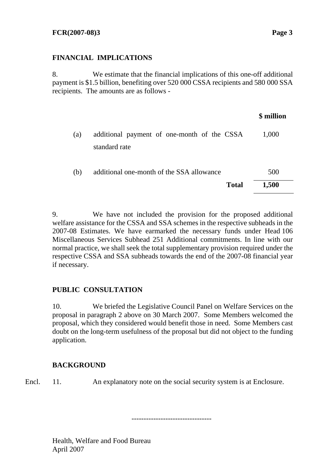# **FINANCIAL IMPLICATIONS**

8. We estimate that the financial implications of this one-off additional payment is \$1.5 billion, benefiting over 520 000 CSSA recipients and 580 000 SSA recipients. The amounts are as follows -

|     |                                                              | \$ million |
|-----|--------------------------------------------------------------|------------|
| (a) | additional payment of one-month of the CSSA<br>standard rate | 1,000      |
| (b) | additional one-month of the SSA allowance                    | 500        |
|     | <b>Total</b>                                                 | 1,500      |

9. We have not included the provision for the proposed additional welfare assistance for the CSSA and SSA schemes in the respective subheads in the 2007-08 Estimates. We have earmarked the necessary funds under Head 106 Miscellaneous Services Subhead 251 Additional commitments. In line with our normal practice, we shall seek the total supplementary provision required under the respective CSSA and SSA subheads towards the end of the 2007-08 financial year if necessary.

# **PUBLIC CONSULTATION**

10. We briefed the Legislative Council Panel on Welfare Services on the proposal in paragraph 2 above on 30 March 2007. Some Members welcomed the proposal, which they considered would benefit those in need. Some Members cast doubt on the long-term usefulness of the proposal but did not object to the funding application.

#### **BACKGROUND**

Encl. 11. An explanatory note on the social security system is at Enclosure.

---------------------------------

Health, Welfare and Food Bureau April 2007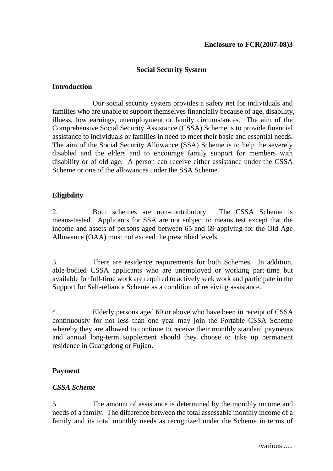## **Social Security System**

#### **Introduction**

 Our social security system provides a safety net for individuals and families who are unable to support themselves financially because of age, disability, illness, low earnings, unemployment or family circumstances. The aim of the Comprehensive Social Security Assistance (CSSA) Scheme is to provide financial assistance to individuals or families in need to meet their basic and essential needs. The aim of the Social Security Allowance (SSA) Scheme is to help the severely disabled and the elders and to encourage family support for members with disability or of old age. A person can receive either assistance under the CSSA Scheme or one of the allowances under the SSA Scheme.

#### **Eligibility**

2. Both schemes are non-contributory. The CSSA Scheme is means-tested. Applicants for SSA are not subject to means test except that the income and assets of persons aged between 65 and 69 applying for the Old Age Allowance (OAA) must not exceed the prescribed levels.

3. There are residence requirements for both Schemes. In addition, able-bodied CSSA applicants who are unemployed or working part-time but available for full-time work are required to actively seek work and participate in the Support for Self-reliance Scheme as a condition of receiving assistance.

4. Elderly persons aged 60 or above who have been in receipt of CSSA continuously for not less than one year may join the Portable CSSA Scheme whereby they are allowed to continue to receive their monthly standard payments and annual long-term supplement should they choose to take up permanent residence in Guangdong or Fujian.

#### **Payment**

#### *CSSA Scheme*

5. The amount of assistance is determined by the monthly income and needs of a family. The difference between the total assessable monthly income of a family and its total monthly needs as recognized under the Scheme in terms of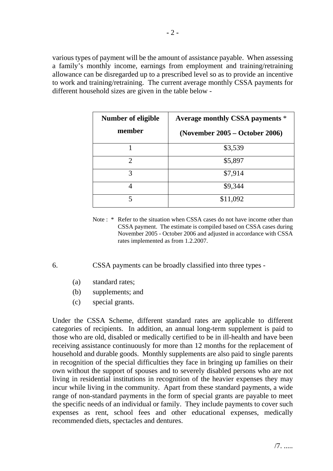various types of payment will be the amount of assistance payable. When assessing a family's monthly income, earnings from employment and training/retraining allowance can be disregarded up to a prescribed level so as to provide an incentive to work and training/retraining. The current average monthly CSSA payments for different household sizes are given in the table below -

| Number of eligible<br>member | Average monthly CSSA payments *<br>(November 2005 – October 2006) |
|------------------------------|-------------------------------------------------------------------|
|                              | \$3,539                                                           |
| $\mathcal{D}_{\mathcal{L}}$  | \$5,897                                                           |
| 3                            | \$7,914                                                           |
|                              | \$9,344                                                           |
| 5                            | \$11,092                                                          |

Note : \* Refer to the situation when CSSA cases do not have income other than CSSA payment. The estimate is compiled based on CSSA cases during November 2005 - October 2006 and adjusted in accordance with CSSA rates implemented as from 1.2.2007.

6. CSSA payments can be broadly classified into three types -

- (a) standard rates;
- (b) supplements; and
- (c) special grants.

Under the CSSA Scheme, different standard rates are applicable to different categories of recipients. In addition, an annual long-term supplement is paid to those who are old, disabled or medically certified to be in ill-health and have been receiving assistance continuously for more than 12 months for the replacement of household and durable goods. Monthly supplements are also paid to single parents in recognition of the special difficulties they face in bringing up families on their own without the support of spouses and to severely disabled persons who are not living in residential institutions in recognition of the heavier expenses they may incur while living in the community. Apart from these standard payments, a wide range of non-standard payments in the form of special grants are payable to meet the specific needs of an individual or family. They include payments to cover such expenses as rent, school fees and other educational expenses, medically recommended diets, spectacles and dentures.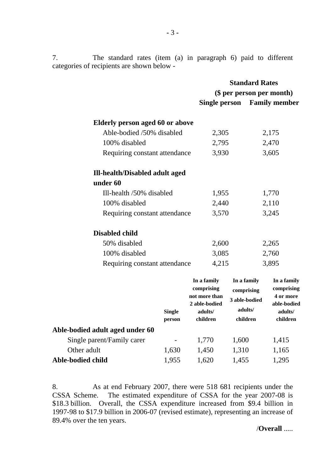7. The standard rates (item (a) in paragraph 6) paid to different categories of recipients are shown below -

|                                       | <b>Standard Rates</b>                                       |                                                                                                     |  |
|---------------------------------------|-------------------------------------------------------------|-----------------------------------------------------------------------------------------------------|--|
|                                       | (\$ per person per month)                                   |                                                                                                     |  |
|                                       | Single person                                               | <b>Family member</b>                                                                                |  |
| Elderly person aged 60 or above       |                                                             |                                                                                                     |  |
| Able-bodied /50% disabled             | 2,305                                                       | 2,175                                                                                               |  |
| 100% disabled                         | 2,795                                                       | 2,470                                                                                               |  |
| Requiring constant attendance         | 3,930                                                       | 3,605                                                                                               |  |
| <b>Ill-health/Disabled adult aged</b> |                                                             |                                                                                                     |  |
| under 60                              |                                                             |                                                                                                     |  |
| Ill-health /50% disabled              | 1,955                                                       | 1,770                                                                                               |  |
| 100% disabled                         | 2,440                                                       | 2,110                                                                                               |  |
| Requiring constant attendance         | 3,570                                                       | 3,245                                                                                               |  |
| <b>Disabled child</b>                 |                                                             |                                                                                                     |  |
| 50% disabled                          | 2,600                                                       | 2,265                                                                                               |  |
| 100% disabled                         | 3,085                                                       | 2,760                                                                                               |  |
| Requiring constant attendance         | 4,215                                                       | 3,895                                                                                               |  |
|                                       | In a family<br>comprising<br>not more than<br>2 able-bodied | In a family<br>In a family<br>comprising<br>comprising<br>4 or more<br>3 able-bodied<br>able-bodied |  |
| <b>Single</b><br>person               | adults/<br>children                                         | adults/<br>adults/<br>children<br>children                                                          |  |
| Able-bodied adult aged under 60       |                                                             |                                                                                                     |  |

| $\sim$ |                | 1.600 | 1,415 |
|--------|----------------|-------|-------|
|        | 1.450          |       | 1,165 |
|        | 1.620          | 1,455 | 1,295 |
|        | 1.630<br>1.955 | 1.770 | 1,310 |

8. As at end February 2007, there were 518 681 recipients under the CSSA Scheme. The estimated expenditure of CSSA for the year 2007-08 is \$18.3 billion. Overall, the CSSA expenditure increased from \$9.4 billion in 1997-98 to \$17.9 billion in 2006-07 (revised estimate), representing an increase of 89.4% over the ten years.

/**Overall** .....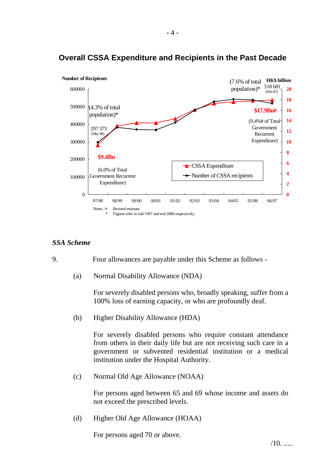

# **Overall CSSA Expenditure and Recipients in the Past Decade**

**-** 4 **-**

#### *SSA Scheme*

9. Four allowances are payable under this Scheme as follows -

(a) Normal Disability Allowance (NDA)

For severely disabled persons who, broadly speaking, suffer from a 100% loss of earning capacity, or who are profoundly deaf.

(b) Higher Disability Allowance (HDA)

For severely disabled persons who require constant attendance from others in their daily life but are not receiving such care in a government or subvented residential institution or a medical institution under the Hospital Authority.

(c) Normal Old Age Allowance (NOAA)

For persons aged between 65 and 69 whose income and assets do not exceed the prescribed levels.

(d) Higher Old Age Allowance (HOAA)

For persons aged 70 or above.